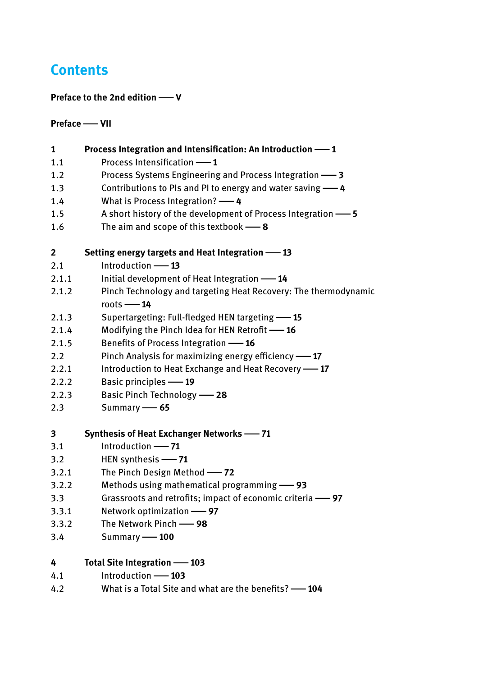# **Contents**

# **Preface to the 2nd edition**|**V**

## **Preface**|**VII**

| 1     | Process Integration and Intensification: An Introduction - 1                    |
|-------|---------------------------------------------------------------------------------|
| 1.1   | Process Intensification -1                                                      |
| 1.2   | Process Systems Engineering and Process Integration -8                          |
| 1.3   | Contributions to PIs and PI to energy and water saving -4                       |
| 1.4   | What is Process Integration? -4                                                 |
| 1.5   | A short history of the development of Process Integration -5                    |
| 1.6   | The aim and scope of this textbook $-8$                                         |
| 2     | Setting energy targets and Heat Integration -13                                 |
| 2.1   | Introduction -13                                                                |
| 2.1.1 | Initial development of Heat Integration -14                                     |
| 2.1.2 | Pinch Technology and targeting Heat Recovery: The thermodynamic<br>$roots - 14$ |
| 2.1.3 | Supertargeting: Full-fledged HEN targeting -15                                  |
| 2.1.4 | Modifying the Pinch Idea for HEN Retrofit -16                                   |
| 2.1.5 | Benefits of Process Integration -16                                             |
| 2.2   | Pinch Analysis for maximizing energy efficiency -17                             |
| 2.2.1 | Introduction to Heat Exchange and Heat Recovery -17                             |
| 2.2.2 | <b>Basic principles -19</b>                                                     |
| 2.2.3 | <b>Basic Pinch Technology -28</b>                                               |
| 2.3   | Summary -65                                                                     |
| 3     | Synthesis of Heat Exchanger Networks - 71                                       |
| 3.1   | Introduction - 71                                                               |
| 3.2   | HEN synthesis - 71                                                              |
| 3.2.1 | The Pinch Design Method -72                                                     |
| 3.2.2 | Methods using mathematical programming -93                                      |
| 3.3   | Grassroots and retrofits; impact of economic criteria -97                       |
| 3.3.1 | Network optimization -97                                                        |
| 3.3.2 | The Network Pinch - 98                                                          |
| 3.4   | Summary -100                                                                    |
| 4     | <b>Total Site Integration -103</b>                                              |
| 4.1   | Introduction - 103                                                              |
| 4.2   | What is a Total Site and what are the benefits? -104                            |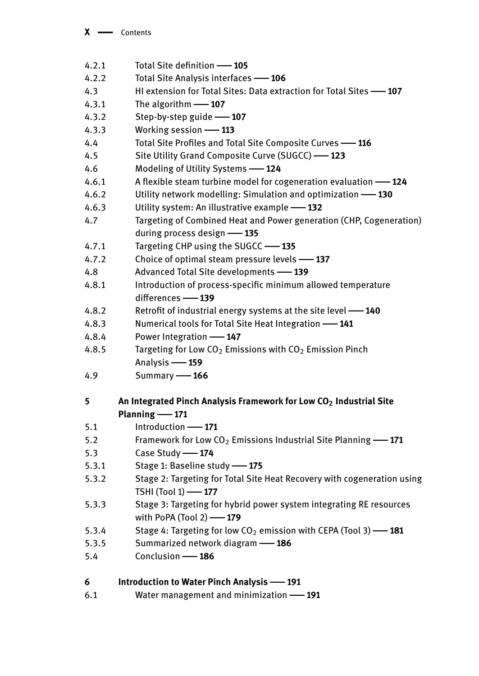| 4.2.1 | Total Site definition -105                                                     |
|-------|--------------------------------------------------------------------------------|
| 4.2.2 | Total Site Analysis interfaces -106                                            |
| 4.3   | HI extension for Total Sites: Data extraction for Total Sites -- 107           |
| 4.3.1 | The algorithm - 107                                                            |
| 4.3.2 | Step-by-step guide -107                                                        |
| 4.3.3 | Working session -113                                                           |
| 4.4   | Total Site Profiles and Total Site Composite Curves -116                       |
| 4.5   | Site Utility Grand Composite Curve (SUGCC) -123                                |
| 4.6   | Modeling of Utility Systems -124                                               |
| 4.6.1 | A flexible steam turbine model for cogeneration evaluation -124                |
| 4.6.2 | Utility network modelling: Simulation and optimization -130                    |
| 4.6.3 | Utility system: An illustrative example -132                                   |
| 4.7   | Targeting of Combined Heat and Power generation (CHP, Cogeneration)            |
|       | during process design -135                                                     |
| 4.7.1 | Targeting CHP using the SUGCC -135                                             |
| 4.7.2 | Choice of optimal steam pressure levels -137                                   |
| 4.8   | Advanced Total Site developments -139                                          |
| 4.8.1 | Introduction of process-specific minimum allowed temperature                   |
|       | differences -139                                                               |
| 4.8.2 | Retrofit of industrial energy systems at the site level -140                   |
| 4.8.3 | Numerical tools for Total Site Heat Integration -141                           |
| 4.8.4 | Power Integration -147                                                         |
| 4.8.5 | Targeting for Low $CO2$ Emissions with $CO2$ Emission Pinch                    |
|       | Analysis -159                                                                  |
| 4.9   | Summary -166                                                                   |
| 5     | An Integrated Pinch Analysis Framework for Low CO <sub>2</sub> Industrial Site |
|       | Planning -171                                                                  |
| 5.1   | Introduction - 171                                                             |
| 5.2   | Framework for Low CO <sub>2</sub> Emissions Industrial Site Planning -- 171    |
| 5.3   | Case Study -174                                                                |
| 5.3.1 | Stage 1: Baseline study - 175                                                  |
| 5.3.2 | Stage 2: Targeting for Total Site Heat Recovery with cogeneration using        |
|       | TSHI (Tool 1) -177                                                             |
| 5.3.3 | Stage 3: Targeting for hybrid power system integrating RE resources            |
|       | with PoPA (Tool 2) -179                                                        |
| 5.3.4 | Stage 4: Targeting for low $CO2$ emission with CEPA (Tool 3) $-$ 181           |
| 5.3.5 | Summarized network diagram -186                                                |
| 5.4   | Conclusion -186                                                                |
| 6     | <b>Introduction to Water Pinch Analysis -191</b>                               |
| 6.1   | Water management and minimization -191                                         |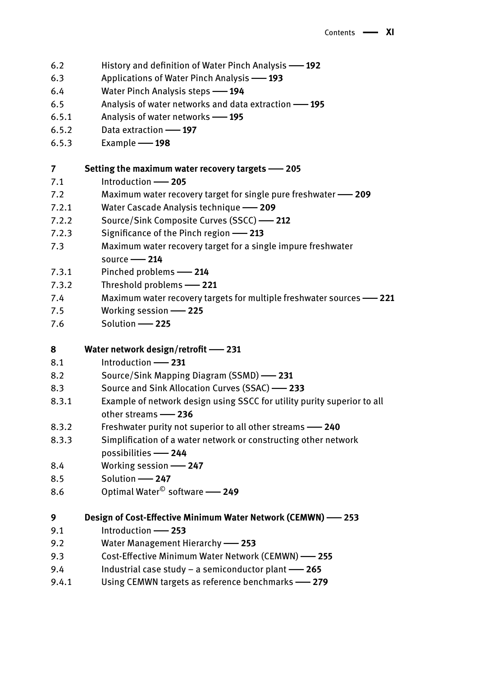- 6.2 History and definition of Water Pinch Analysis|**192**
- 6.3 Applications of Water Pinch Analysis|**193**
- 6.4 Water Pinch Analysis steps|**194**
- 6.5 Analysis of water networks and data extraction|**195**
- 6.5.1 Analysis of water networks|**195**
- 6.5.2 Data extraction|**197**
- 6.5.3 Example|**198**

#### **7 Setting the maximum water recovery targets**|**205**

- 7.1 Introduction **205**
- 7.2 Maximum water recovery target for single pure freshwater|**209**
- 7.2.1 Water Cascade Analysis technique|**209**
- 7.2.2 Source/Sink Composite Curves (SSCC)|**212**
- 7.2.3 Significance of the Pinch region|**213**
- 7.3 Maximum water recovery target for a single impure freshwater source|**214**
- 7.3.1 Pinched problems|**214**
- 7.3.2 Threshold problems|**221**
- 7.4 Maximum water recovery targets for multiple freshwater sources|**221**
- 7.5 Working session 225
- 7.6 Solution|**225**

### **8 Water network design/retrofit**|**231**

- 8.1 Introduction **231**
- 8.2 Source/Sink Mapping Diagram (SSMD)|**231**
- 8.3 Source and Sink Allocation Curves (SSAC)|**233**
- 8.3.1 Example of network design using SSCC for utility purity superior to all other streams|**236**
- 8.3.2 Freshwater purity not superior to all other streams|**240**
- 8.3.3 Simplification of a water network or constructing other network possibilities|**244**
- 8.4 Working session 247
- 8.5 Solution|**247**
- 8.6 Optimal Water© software|**249**

**9 Design of Cost-Effective Minimum Water Network (CEMWN)**|**253**

- 9.1 Introduction|**253**
- 9.2 Water Management Hierarchy|**253**
- 9.3 Cost-Effective Minimum Water Network (CEMWN)|**255**
- 9.4 Industrial case study a semiconductor plant|**265**
- 9.4.1 Using CEMWN targets as reference benchmarks|**279**